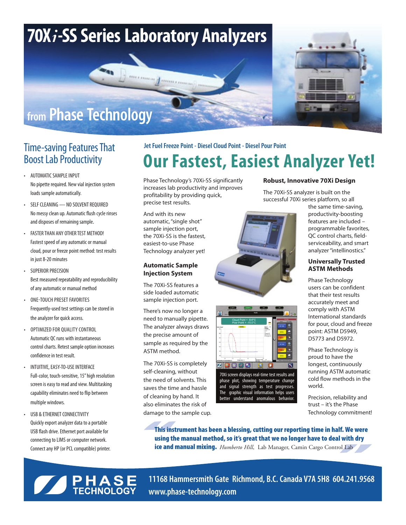

- • AUTOMATIC SAMPLE INPUT No pipette required. New vial injection system loads sample automatically.
- • SELF CLEANING NO SOLVENT REQUIRED No messy clean up. Automatic flush cycle rinses and disposes of remaining sample.
- • FASTER THAN ANY OTHER TEST METHOD! Fastest speed of any automatic or manual cloud, pour or freeze point method: test results in just 8-20 minutes
- **SUPERIOR PRECISION** Best measured repeatability and reproducibility of any automatic or manual method
- • One-touch preset Favorites Frequently-used test settings can be stored in the analyzer for quick access.
- OPTIMIZED FOR OUALITY CONTROL Automatic QC runs with instantaneous control charts. Retest sample option increases confidence in test result.
- INTUITIVE, EASY-TO-USE INTERFACE Full-color, touch-sensitive, 15" high resolution screen is easy to read and view. Multitasking capability eliminates need to flip between multiple windows.
- USB & ETHERNET CONNECTIVITY Quickly export analyzer data to a portable USB flash drive. Ethernet port available for connecting to LIMS or computer network. Connect any HP (or PCL compatible) printer.

## **Time-saving Features That** Jet Fuel Freeze Point - Diesel Cloud Point - Diesel Pour Point<br>Boost Lab Productivity<br> $\bigcap_{x \in \mathcal{X}} \mathbf{r} \mathbf{r} \mathbf{r}$   $\bigcap_{x \in \mathcal{X}} \mathbf{r} \mathbf{r}$ **Our Fastest, Easiest Analyzer Yet!**

Phase Technology's 70Xi-SS significantly increases lab productivity and improves profitability by providing quick, precise test results.

And with its new automatic, "single shot" sample injection port, the 70Xi-SS is the fastest, easiest-to-use Phase Technology analyzer yet!

#### **Automatic Sample Injection System**

The 70Xi-SS features a side loaded automatic sample injection port.

There's now no longer a need to manually pipette. The analyzer always draws the precise amount of sample as required by the ASTM method.

The 70Xi-SS is completely self-cleaning, without the need of solvents. This saves the time and hassle of cleaning by hand. It also eliminates the risk of damage to the sample cup.





70Xi screen displays real-time test results and phase plot, showing temperature change and signal strength as test progresses. The graphic visual information helps users better understand anomalous behavior.

### **Robust, Innovative 70Xi Design**

The 70Xi-SS analyzer is built on the successful 70Xi series platform, so all

> the same time-saving, productivity-boosting features are included – programmable favorites, QC control charts, fieldserviceability, and smart analyzer "intellinostics."

#### **Universally Trusted ASTM Methods**

Phase Technology users can be confident that their test results accurately meet and comply with ASTM International standards for pour, cloud and freeze point: ASTM D5949, D5773 and D5972.

Phase Technology is proud to have the longest, continuously running ASTM automatic cold flow methods in the world.

Precision, reliability and trust – it's the Phase Technology commitment!

This instrument has been a blessing, cutting our reporting time in half. We were using the manual method, so it's great that we no longer have to deal with dry ice and manual mixing. *Humberto Hill*, Lab Manager, Camin Cargo Control Lab



**11168 Hammersmith Gate Richmond, B.C. Canada V7A 5H8 604.241.9568 www.phase-technology.com**